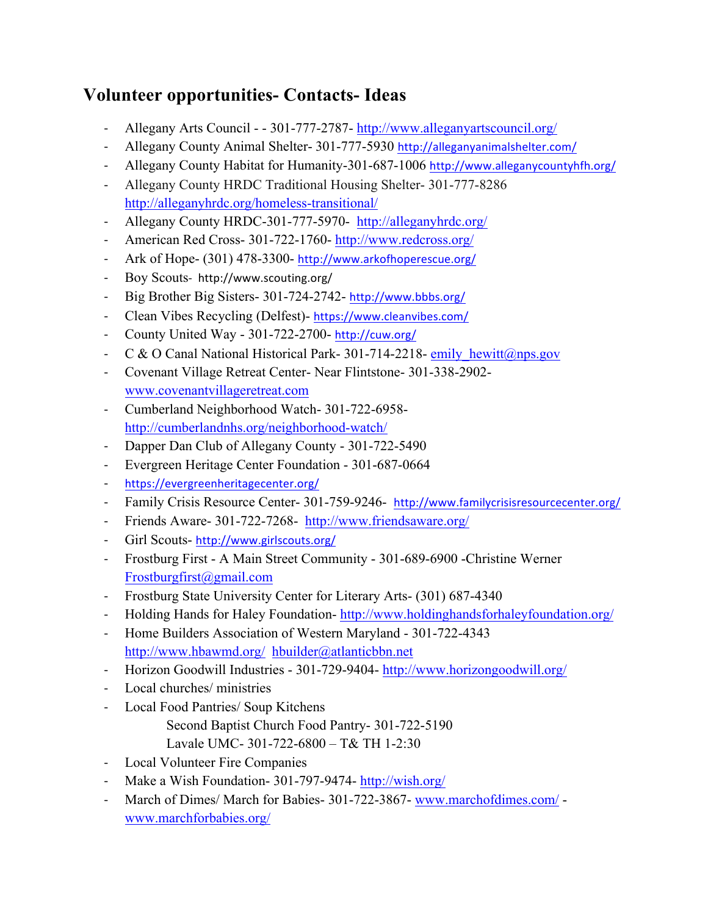## **Volunteer opportunities- Contacts- Ideas**

- Allegany Arts Council - 301-777-2787- http://www.alleganyartscouncil.org/
- Allegany County Animal Shelter- 301-777-5930 http://alleganyanimalshelter.com/
- Allegany County Habitat for Humanity-301-687-1006 http://www.alleganycountyhfh.org/
- Allegany County HRDC Traditional Housing Shelter- 301-777-8286 http://alleganyhrdc.org/homeless-transitional/
- Allegany County HRDC-301-777-5970- http://alleganyhrdc.org/
- American Red Cross- 301-722-1760- http://www.redcross.org/
- Ark of Hope- (301) 478-3300- http://www.arkofhoperescue.org/
- Boy Scouts- http://www.scouting.org/
- Big Brother Big Sisters- 301-724-2742- http://www.bbbs.org/
- Clean Vibes Recycling (Delfest)- https://www.cleanvibes.com/
- County United Way 301-722-2700- http://cuw.org/
- C & O Canal National Historical Park- 301-714-2218- emily hewitt@nps.gov
- Covenant Village Retreat Center- Near Flintstone- 301-338-2902 www.covenantvillageretreat.com
- Cumberland Neighborhood Watch- 301-722-6958 http://cumberlandnhs.org/neighborhood-watch/
- Dapper Dan Club of Allegany County 301-722-5490
- Evergreen Heritage Center Foundation 301-687-0664
- https://evergreenheritagecenter.org/
- Family Crisis Resource Center- 301-759-9246- http://www.familycrisisresourcecenter.org/
- Friends Aware- 301-722-7268- http://www.friendsaware.org/
- Girl Scouts- http://www.girlscouts.org/
- Frostburg First A Main Street Community 301-689-6900 -Christine Werner Frostburgfirst@gmail.com
- Frostburg State University Center for Literary Arts- (301) 687-4340
- Holding Hands for Haley Foundation- http://www.holdinghandsforhaleyfoundation.org/
- Home Builders Association of Western Maryland 301-722-4343 http://www.hbawmd.org/ hbuilder@atlanticbbn.net
- Horizon Goodwill Industries 301-729-9404- http://www.horizongoodwill.org/
- Local churches/ ministries
- Local Food Pantries/ Soup Kitchens Second Baptist Church Food Pantry- 301-722-5190 Lavale UMC- 301-722-6800 – T& TH 1-2:30
- Local Volunteer Fire Companies
- Make a Wish Foundation- 301-797-9474- http://wish.org/
- March of Dimes/ March for Babies- 301-722-3867- www.marchofdimes.com/ www.marchforbabies.org/